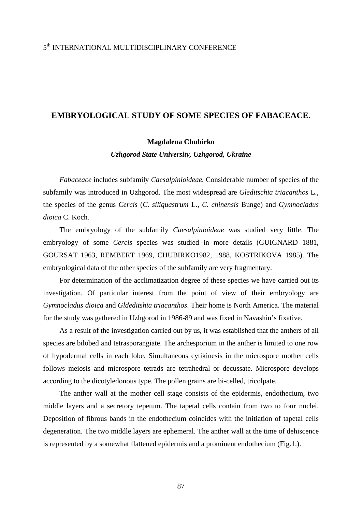## 5<sup>th</sup> INTERNATIONAL MULTIDISCIPLINARY CONFERENCE

## **EMBRYOLOGICAL STUDY OF SOME SPECIES OF FABACEACE.**

## **Magdalena Chubirko**

*Uzhgorod State University, Uzhgorod, Ukraine* 

*Fabaceace* includes subfamily *Caesalpinioideae.* Considerable number of species of the subfamily was introduced in Uzhgorod. The most widespread are *Gleditschia triacanthos* L., the species of the genus *Cercis* (*C. siliquastrum* L*., C. chinensis* Bunge) and *Gymnocladus dioica* C. Koch.

The embryology of the subfamily *Caesalpinioideae* was studied very little. The embryology of some *Cercis* species was studied in more details (GUIGNARD 1881, GOURSAT 1963, REMBERT 1969, CHUBIRKO1982, 1988, KOSTRIKOVA 1985). The embryological data of the other species of the subfamily are very fragmentary.

For determination of the acclimatization degree of these species we have carried out its investigation. Of particular interest from the point of view of their embryology are *Gymnocladus dioica* and *Gldeditshia triacanthos*. Their home is North America. The material for the study was gathered in Uzhgorod in 1986-89 and was fixed in Navashin's fixative.

As a result of the investigation carried out by us, it was established that the anthers of all species are bilobed and tetrasporangiate. The archesporium in the anther is limited to one row of hypodermal cells in each lobe. Simultaneous cytikinesis in the microspore mother cells follows meiosis and microspore tetrads are tetrahedral or decussate. Microspore develops according to the dicotyledonous type. The pollen grains are bi-celled, tricolpate.

The anther wall at the mother cell stage consists of the epidermis, endothecium, two middle layers and a secretory tepetum. The tapetal cells contain from two to four nuclei. Deposition of fibrous bands in the endothecium coincides with the initiation of tapetal cells degeneration. The two middle layers are ephemeral. The anther wall at the time of dehiscence is represented by a somewhat flattened epidermis and a prominent endothecium (Fig.1.).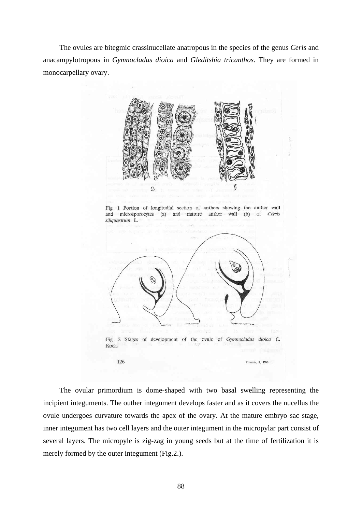The ovules are bitegmic crassinucellate anatropous in the species of the genus *Ceris* and anacampylotropous in *Gymnocladus dioica* and *Gleditshia tricanthos*. They are formed in monocarpellary ovary.



Fig. 1 Portion of longitudial section of anthers showing the anther wall microsporocytes and mature anther wall (b) of Cercis and  $\left( a\right)$ siliquastrum L.



The ovular primordium is dome-shaped with two basal swelling representing the incipient integuments. The outher integument develops faster and as it covers the nucellus the ovule undergoes curvature towards the apex of the ovary. At the mature embryo sac stage, inner integument has two cell layers and the outer integument in the micropylar part consist of several layers. The micropyle is zig-zag in young seeds but at the time of fertilization it is merely formed by the outer integument (Fig.2.).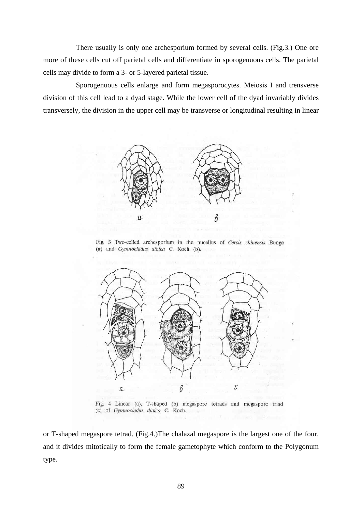There usually is only one archesporium formed by several cells. (Fig.3.) One ore more of these cells cut off parietal cells and differentiate in sporogenuous cells. The parietal cells may divide to form a 3- or 5-layered parietal tissue.

Sporogenuous cells enlarge and form megasporocytes. Meiosis I and trensverse division of this cell lead to a dyad stage. While the lower cell of the dyad invariably divides transversely, the division in the upper cell may be transverse or longitudinal resulting in linear



Fig. 3 Two-celled archesporium in the nucellus of Cercis chinensis Bunge (a) and Gymnocladus dioica C. Koch (b).



Fig. 4 Linear (a), T-shaped (b) megaspore tetrads and megaspore triad (c) of Gymnocladus dioica C. Koch.

or T-shaped megaspore tetrad. (Fig.4.)The chalazal megaspore is the largest one of the four, and it divides mitotically to form the female gametophyte which conform to the Polygonum type.